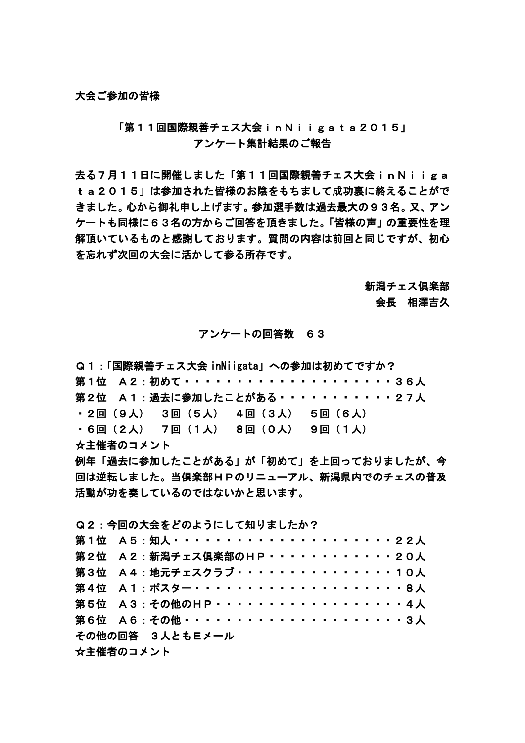## 「第11回国際親善チェス大会inNiigata2015」 アンケート集計結果のご報告

去る7月11日に開催しました「第11回国際親善チェス大会inNiiga ta2015」は参加された皆様のお陰をもちまして成功裏に終えることがで きました。心から御礼申し上げます。参加選手数は過去最大の93名。又、アン ケートも同様に63名の方からご回答を頂きました。「皆様の声」の重要性を理 解頂いているものと感謝しております。質問の内容は前回と同じですが、初心 を忘れず次回の大会に活かして参る所存です。

#### 新潟チェス倶楽部

### 会長 相澤吉久

### アンケートの回答数 63

Q1:「国際親善チェス大会 inNiigata」への参加は初めてですか? 第1位 A2:初めて······················36人 第2位 A1:過去に参加したことがある・・・・・・・・・・・27人 ・2回(9人) 3回(5人) 4回(3人) 5回(6人) ・6回(2人) 7回(1人) 8回(0人) 9回(1人) ☆主催者のコメント 例年「過去に参加したことがある」が「初めて」を上回っておりましたが、今 回は逆転しました。当倶楽部HPのリニューアル、新潟県内でのチェスの普及 活動が功を奏しているのではないかと思います。

|  | Q2:今回の大会をどのようにして知りましたか? |
|--|-------------------------|
|  |                         |

| 第1位 A5:知人 ·······················22人 |  |  |  |  |  |  |  |  |  |  |  |  |  |
|--------------------------------------|--|--|--|--|--|--|--|--|--|--|--|--|--|
| 第2位 A2:新潟チェス倶楽部のHP············20人    |  |  |  |  |  |  |  |  |  |  |  |  |  |
| 第3位 A4:地元チェスクラブ・・・・・・・・・・・・・・10人     |  |  |  |  |  |  |  |  |  |  |  |  |  |
| 第4位 A1:ポスター・・・・・・・・・・・・・・・・・・・・8人    |  |  |  |  |  |  |  |  |  |  |  |  |  |
| 第5位 A3: その他のHP・・・・・・・・・・・・・・・・・・4人   |  |  |  |  |  |  |  |  |  |  |  |  |  |
| 第6位 A6: その他・・・・・・・・・・・・・・・・・・・・・3人   |  |  |  |  |  |  |  |  |  |  |  |  |  |
| その他の回答 3人ともEメール                      |  |  |  |  |  |  |  |  |  |  |  |  |  |
| ☆主催者のコメント                            |  |  |  |  |  |  |  |  |  |  |  |  |  |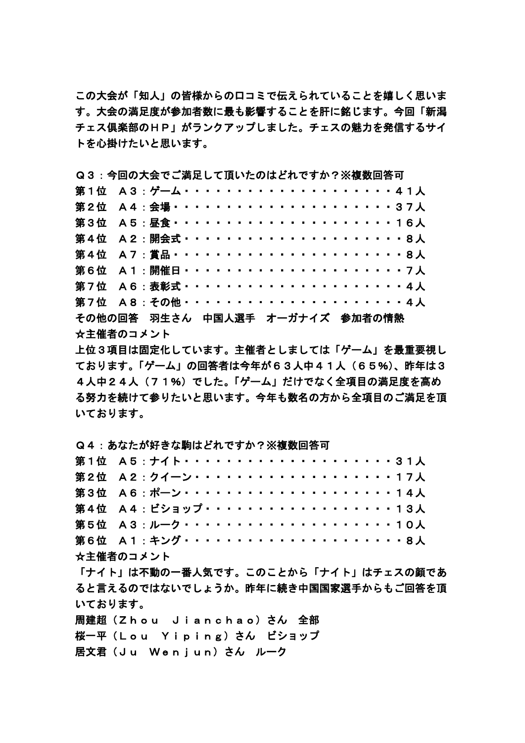この大会が「知人」の皆様からの口コミで伝えられていることを嬉しく思いま す。大会の満足度が参加者数に最も影響することを肝に銘じます。今回「新潟 チェス倶楽部のHP」がランクアップしました。チェスの魅力を発信するサイ トを心掛けたいと思います。

Q3:今回の大会でご満足して頂いたのはどれですか?※複数回答可

| 第1位 A3:ゲーム・・・・・・・・・・・・・・・・・・・・41人      |  |  |  |  |  |  |  |  |  |  |  |  |  |  |
|----------------------------------------|--|--|--|--|--|--|--|--|--|--|--|--|--|--|
| 第2位 A4:会場・・・・・・・・・・・・・・・・・・・・・37人      |  |  |  |  |  |  |  |  |  |  |  |  |  |  |
| 第3位 A5:昼食・・・・・・・・・・・・・・・・・・・・16人       |  |  |  |  |  |  |  |  |  |  |  |  |  |  |
| 第4位 A2:開会式························     |  |  |  |  |  |  |  |  |  |  |  |  |  |  |
| 第4位 A7:賞品 ························· 8人 |  |  |  |  |  |  |  |  |  |  |  |  |  |  |
| 第6位 A1:開催日························     |  |  |  |  |  |  |  |  |  |  |  |  |  |  |
|                                        |  |  |  |  |  |  |  |  |  |  |  |  |  |  |
| 第7位 A8: その他・・・・・・・・・・・・・・・・・・・・・4人     |  |  |  |  |  |  |  |  |  |  |  |  |  |  |
| その他の回答 羽生さん 中国人選手 オーガナイズ 参加者の情熱        |  |  |  |  |  |  |  |  |  |  |  |  |  |  |
| ☆主催者のコメント                              |  |  |  |  |  |  |  |  |  |  |  |  |  |  |

上位3項目は固定化しています。主催者としましては「ゲーム」を最重要視し ております。「ゲーム」の回答者は今年が63人中41人(65%)、昨年は3 4人中24人 (71%)でした。「ゲーム」だけでなく全項目の満足度を高め る努力を続けて参りたいと思います。今年も数名の方から全項目のご満足を頂 いております。

Q4:あなたが好きな駒はどれですか?※複数回答可

| 第1位 A5:ナイト・・・・・・・・・・・・・・・・・・・・・31人 |  |  |  |  |  |  |  |  |  |  |  |  |  |  |
|------------------------------------|--|--|--|--|--|--|--|--|--|--|--|--|--|--|
| 第2位 A2:クイーン・・・・・・・・・・・・・・・・・・・17人  |  |  |  |  |  |  |  |  |  |  |  |  |  |  |
| 第3位 A6:ポーン・・・・・・・・・・・・・・・・・・・・14人  |  |  |  |  |  |  |  |  |  |  |  |  |  |  |
| 第4位 A4: ビショップ・・・・・・・・・・・・・・・・・・13人 |  |  |  |  |  |  |  |  |  |  |  |  |  |  |
| 第5位 A3:ルーク・・・・・・・・・・・・・・・・・・・・10人  |  |  |  |  |  |  |  |  |  |  |  |  |  |  |
| 第6位 A1:キング・・・・・・・・・・・・・・・・・・・・・8人  |  |  |  |  |  |  |  |  |  |  |  |  |  |  |
|                                    |  |  |  |  |  |  |  |  |  |  |  |  |  |  |

☆主催者のコメント

「ナイト」は不動の一番人気です。このことから「ナイト」はチェスの顔であ ると言えるのではないでしょうか。昨年に続き中国国家選手からもご回答を頂 いております。

周建超(Zhou Jianchao)さん 全部 桜一平(Lou Yiping)さん ビショップ 居文君 (Ju Wenjun) さん ルーク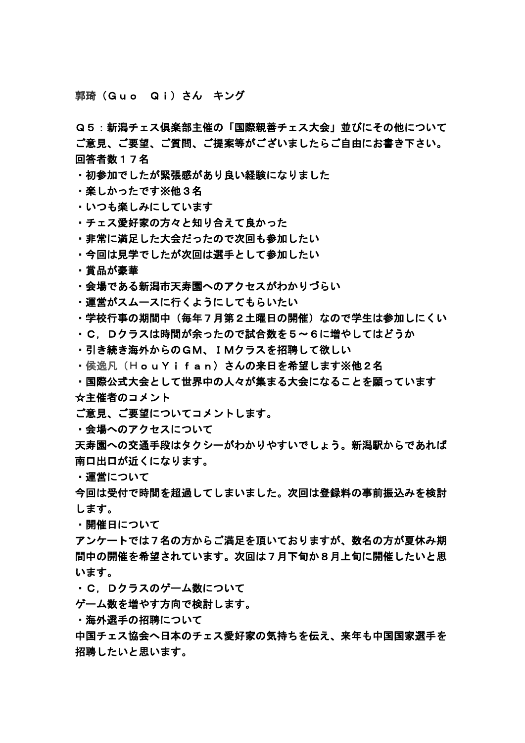郭琦(Guo Qi)さん キング

Q5:新潟チェス倶楽部主催の「国際親善チェス大会」並びにその他について ご意見、ご要望、ご質問、ご提案等がございましたらご自由にお書き下さい。 回答者数17名

・初参加でしたが緊張感があり良い経験になりました

・楽しかったです※他3名

・いつも楽しみにしています

・チェス愛好家の方々と知り合えて良かった

・非常に満足した大会だったので次回も参加したい

・今回は見学でしたが次回は選手として参加したい

・賞品が豪華

・会場である新潟市天寿園へのアクセスがわかりづらい

・運営がスムースに行くようにしてもらいたい

・学校行事の期間中(毎年7月第2土曜日の開催)なので学生は参加しにくい

・C,Dクラスは時間が余ったので試合数を5~6に増やしてはどうか

・引き続き海外からのGM、IMクラスを招聘して欲しい

・侯逸凡(HouYifan)さんの来日を希望します※他2名

・国際公式大会として世界中の人々が集まる大会になることを願っています ☆主催者のコメント

ご意見、ご要望についてコメントします。

・会場へのアクセスについて

天寿園への交通手段はタクシーがわかりやすいでしょう。新潟駅からであれば 南口出口が近くになります。

・運営について

今回は受付で時間を超過してしまいました。次回は登録料の事前振込みを検討 します。

・開催日について

アンケートでは7名の方からご満足を頂いておりますが、数名の方が夏休み期 間中の開催を希望されています。次回は7月下旬か8月上旬に開催したいと思 います。

・C,Dクラスのゲーム数について

ゲーム数を増やす方向で検討します。

・海外選手の招聘について

中国チェス協会へ日本のチェス愛好家の気持ちを伝え、来年も中国国家選手を 招聘したいと思います。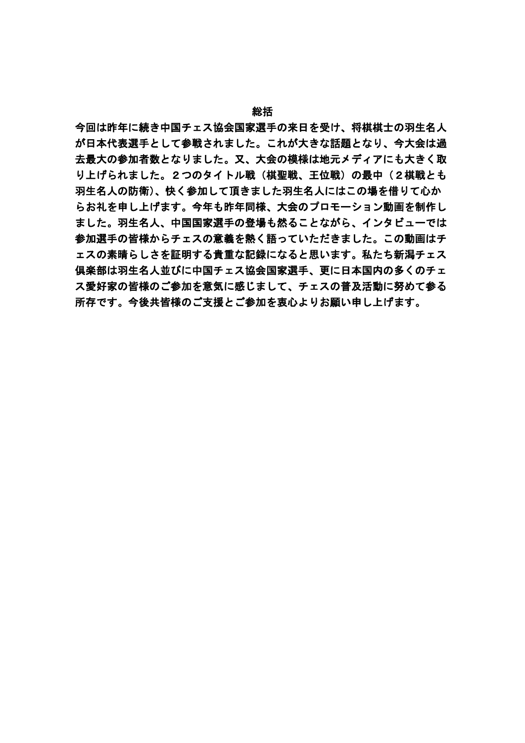#### 総括

今回は昨年に続き中国チェス協会国家選手の来日を受け、将棋棋士の羽生名人 が日本代表選手として参戦されました。これが大きな話題となり、今大会は過 去最大の参加者数となりました。又、大会の模様は地元メディアにも大きく取 り上げられました。2つのタイトル戦(棋聖戦、王位戦)の最中(2棋戦とも 羽生名人の防衛)、快く参加して頂きました羽生名人にはこの場を借りて心か らお礼を申し上げます。今年も昨年同様、大会のプロモーション動画を制作し ました。羽生名人、中国国家選手の登場も然ることながら、インタビューでは 参加選手の皆様からチェスの意義を熱く語っていただきました。この動画はチ ェスの素晴らしさを証明する貴重な記録になると思います。私たち新潟チェス 倶楽部は羽生名人並びに中国チェス協会国家選手、更に日本国内の多くのチェ ス愛好家の皆様のご参加を意気に感じまして、チェスの普及活動に努めて参る 所存です。今後共皆様のご支援とご参加を衷心よりお願い申し上げます。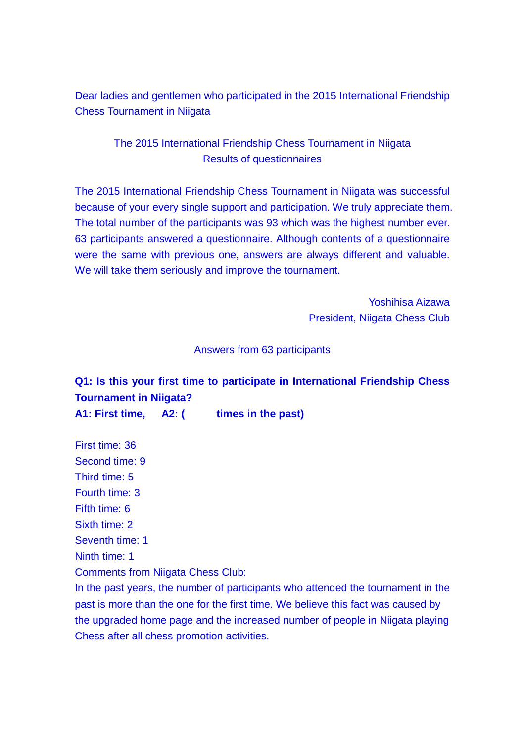Dear ladies and gentlemen who participated in the 2015 International Friendship Chess Tournament in Niigata

# The 2015 International Friendship Chess Tournament in Niigata Results of questionnaires

The 2015 International Friendship Chess Tournament in Niigata was successful because of your every single support and participation. We truly appreciate them. The total number of the participants was 93 which was the highest number ever. 63 participants answered a questionnaire. Although contents of a questionnaire were the same with previous one, answers are always different and valuable. We will take them seriously and improve the tournament.

> Yoshihisa Aizawa President, Niigata Chess Club

### Answers from 63 participants

# **Q1: Is this your first time to participate in International Friendship Chess Tournament in Niigata?**

A1: First time, A2: ( times in the past)

First time: 36

Second time: 9

Third time: 5

Fourth time: 3

Fifth time: 6

Sixth time: 2

Seventh time: 1

Ninth time: 1

Comments from Niigata Chess Club:

In the past years, the number of participants who attended the tournament in the past is more than the one for the first time. We believe this fact was caused by the upgraded home page and the increased number of people in Niigata playing Chess after all chess promotion activities.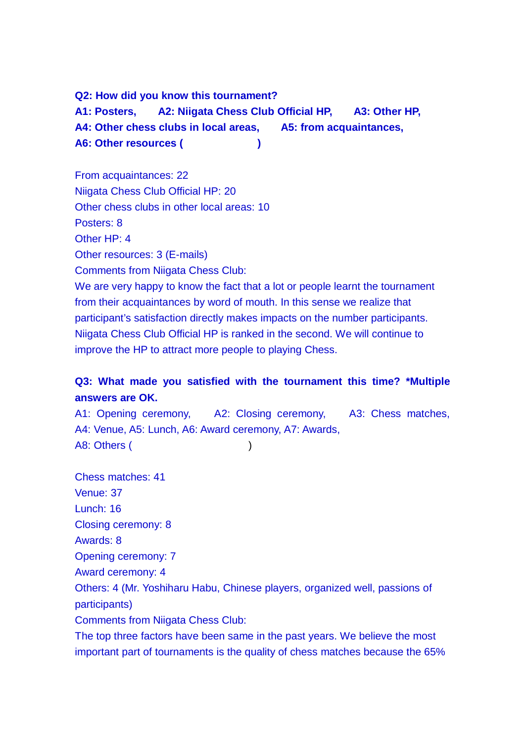**Q2: How did you know this tournament? A1: Posters, A2: Niigata Chess Club Official HP, A3: Other HP, A4: Other chess clubs in local areas, A5: from acquaintances,**  A6: Other resources (
and in the set of the set of the set of the set of the set of the set of the set of the set of the set of the set of the set of the set of the set of the set of the set of the set of the set of the se

From acquaintances: 22 Niigata Chess Club Official HP: 20 Other chess clubs in other local areas: 10 Posters: 8 Other HP: 4 Other resources: 3 (E-mails) Comments from Niigata Chess Club: We are very happy to know the fact that a lot or people learnt the tournament from their acquaintances by word of mouth. In this sense we realize that participant's satisfaction directly makes impacts on the number participants. Niigata Chess Club Official HP is ranked in the second. We will continue to improve the HP to attract more people to playing Chess.

# **Q3: What made you satisfied with the tournament this time? \*Multiple answers are OK.**

A1: Opening ceremony, A2: Closing ceremony, A3: Chess matches, A4: Venue, A5: Lunch, A6: Award ceremony, A7: Awards, A8: Others ( )

Chess matches: 41 Venue: 37 Lunch: 16 Closing ceremony: 8 Awards: 8 Opening ceremony: 7 Award ceremony: 4 Others: 4 (Mr. Yoshiharu Habu, Chinese players, organized well, passions of participants) Comments from Niigata Chess Club: The top three factors have been same in the past years. We believe the most

important part of tournaments is the quality of chess matches because the 65%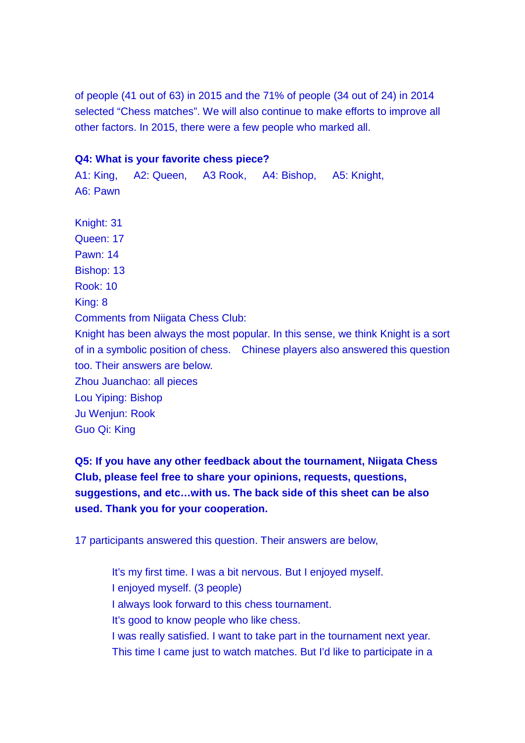of people (41 out of 63) in 2015 and the 71% of people (34 out of 24) in 2014 selected "Chess matches". We will also continue to make efforts to improve all other factors. In 2015, there were a few people who marked all.

### **Q4: What is your favorite chess piece?**

A1: King, A2: Queen, A3 Rook, A4: Bishop, A5: Knight, A6: Pawn

Knight: 31 Queen: 17 Pawn: 14 Bishop: 13 Rook: 10 King: 8 Comments from Niigata Chess Club: Knight has been always the most popular. In this sense, we think Knight is a sort of in a symbolic position of chess. Chinese players also answered this question too. Their answers are below. Zhou Juanchao: all pieces Lou Yiping: Bishop Ju Wenjun: Rook Guo Qi: King

**Q5: If you have any other feedback about the tournament, Niigata Chess Club, please feel free to share your opinions, requests, questions, suggestions, and etc…with us. The back side of this sheet can be also used. Thank you for your cooperation.**

17 participants answered this question. Their answers are below,

It's my first time. I was a bit nervous. But I enjoyed myself. I enjoyed myself. (3 people) I always look forward to this chess tournament. It's good to know people who like chess. I was really satisfied. I want to take part in the tournament next year. This time I came just to watch matches. But I'd like to participate in a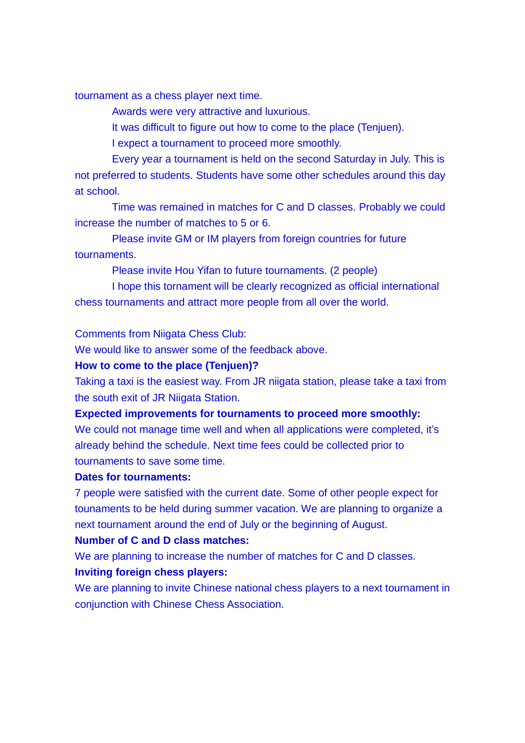tournament as a chess player next time.

Awards were very attractive and luxurious.

It was difficult to figure out how to come to the place (Tenjuen).

I expect a tournament to proceed more smoothly.

Every year a tournament is held on the second Saturday in July. This is not preferred to students. Students have some other schedules around this day at school.

Time was remained in matches for C and D classes. Probably we could increase the number of matches to 5 or 6.

Please invite GM or IM players from foreign countries for future tournaments.

Please invite Hou Yifan to future tournaments. (2 people)

I hope this tornament will be clearly recognized as official international chess tournaments and attract more people from all over the world.

Comments from Niigata Chess Club:

We would like to answer some of the feedback above.

### **How to come to the place (Tenjuen)?**

Taking a taxi is the easiest way. From JR niigata station, please take a taxi from the south exit of JR Niigata Station.

#### **Expected improvements for tournaments to proceed more smoothly:**

We could not manage time well and when all applications were completed, it's already behind the schedule. Next time fees could be collected prior to tournaments to save some time.

### **Dates for tournaments:**

7 people were satisfied with the current date. Some of other people expect for tounaments to be held during summer vacation. We are planning to organize a next tournament around the end of July or the beginning of August.

### **Number of C and D class matches:**

We are planning to increase the number of matches for C and D classes.

### **Inviting foreign chess players:**

We are planning to invite Chinese national chess players to a next tournament in conjunction with Chinese Chess Association.